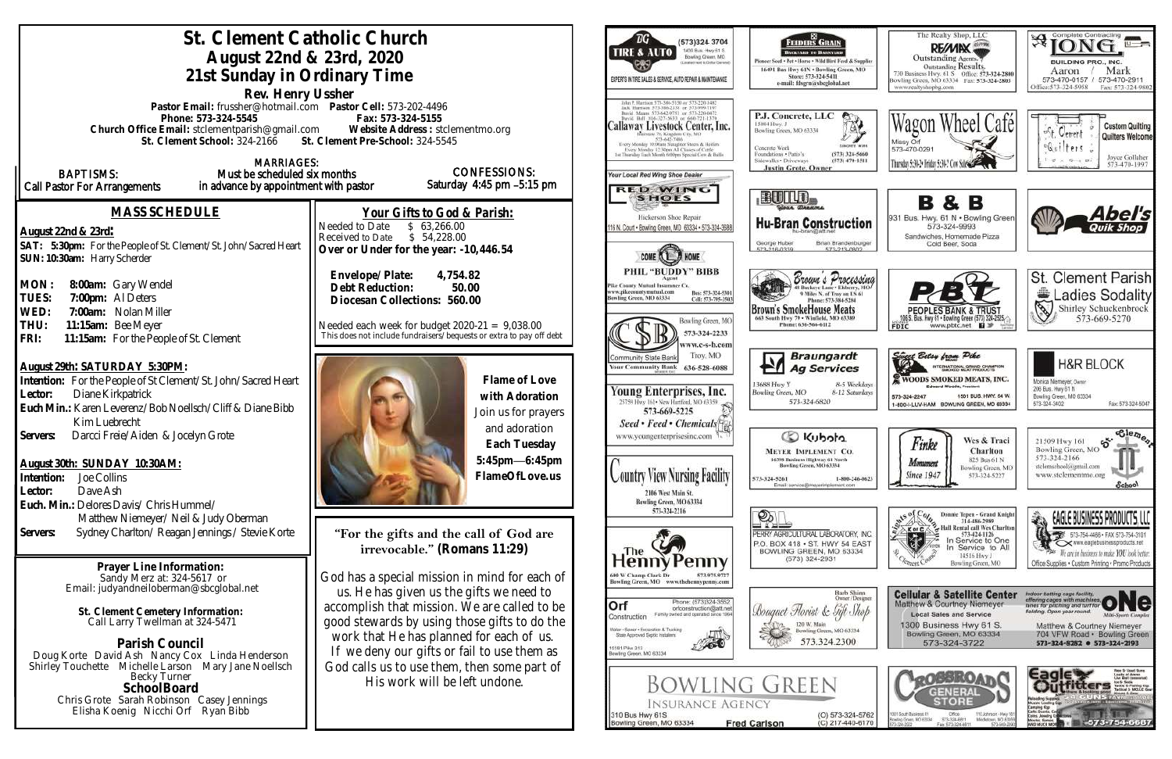